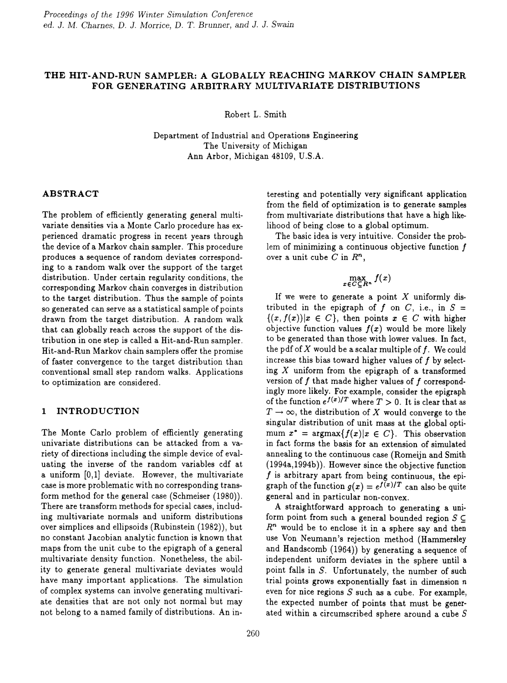# **THE HIT-AND-RUN SAMPLER: A GLOBALLY REACHING MARKOV CHAIN SAMPLER FOR GENERATING ARBITRARY MULTIVARIATE DISTRIBUTIONS**

Robert L. Smith

Department of Industrial and Operations Engineering The University of Michigan Ann Arbor, Michigan 48109, U.S.A.

### **ABSTRACT**

The problem of efficiently generating general multivariate densities via a Monte Carlo procedure has experienced dramatic progress in recent years through the device of a Markov chain sampler. This procedure produces a sequence of random deviates corresponding to a random walk over the support of the target distribution. Under certain regularity conditions, the corresponding Markov chain converges in distribution to the target distribution. Thus the sample of points so generated can serve as a statistical sample of points drawn from the target distribution. A random walk that can globally reach across the support of the distribution in one step is called a Hit-and-Run sampler. Hit-and-Run Markov chain samplers offer the promise of faster convergence to the target distribution than conventional small step random walks. Applications to optimization are considered.

### **1 INTRODUCTION**

The Monte Carlo problem of efficiently generating univariate distributions can be attacked from a variety of directions including the simple device of evaluating the inverse of the random variables cdf at a uniform [0,1] deviate. However, the multivariate case is more problematic with no corresponding transform method for the general case (Schmeiser (1980)). There are transform methods for special *cases,* including multivariate normals and uniform distributions over simplices and ellipsoids (Rubinstein (1982)), but no constant Jacobian analytic function is known that maps from the unit cube to the epigraph of a general multivariate density function. Nonetheless, the ability to generate general multivariate deviates would have many important applications. The simulation of complex systems can involve generating multivariate densities that are not only not normal but may not belong to a named family of distributions. An in-

teresting and potentially very significant application from the field of optimization is to generate samples from multivariate distributions that have a high likelihood of being close to a global optimum.

The basic idea is very intuitive. Consider the problem of minimizing a continuous objective function  $f$ over a unit cube C in *R",*

# $\max_{x \in C \subseteq R^n} f(x)$

If we were to generate a point  $X$  uniformly distributed in the epigraph of  $f$  on  $C$ , i.e., in  $S =$  $\{(x, f(x)) | x \in C\}$ , then points  $x \in C$  with higher objective function values  $f(x)$  would be more likely to be generated than those with lower values. In fact, the pdf of  $X$  would be a scalar multiple of  $f$ . We could increase this bias toward higher values of f by selecting  $X$  uniform from the epigraph of a transformed version of  $f$  that made higher values of  $f$  correspondingly more likely. For example, consider the epigraph of the function  $e^{f(x)/T}$  where  $T > 0$ . It is clear that as  $T \to \infty$ , the distribution of X would converge to the singular distribution of unit mass at the global optimum  $x^* = \text{argmax}{f(x)|x \in C}$ . This observation in fact forms the basis for an extension of simulated annealing to the continuous case (Romeijn and Smith (1994a,1994b)). However since the objective function  $f$  is arbitrary apart from being continuous, the epigraph of the function  $g(x) = e^{f(x)/T}$  can also be quite general and in particular non-convex.

A straightforward approach to generating a uniform point from such a general bounded region  $S \subseteq$ *R"* would be to enclose it in a sphere say and then use Von Neumann's rejection method (Hammersley and Handscomb (1964)) by generating a sequence of independent uniform deviates in the sphere until a point falls in *S.* Unfortunately, the number of such trial points grows exponentially fast in dimension  $n$ even for nice regions  $S$  such as a cube. For example, the expected number of points that must be generated within a circumscribed sphere around a cube S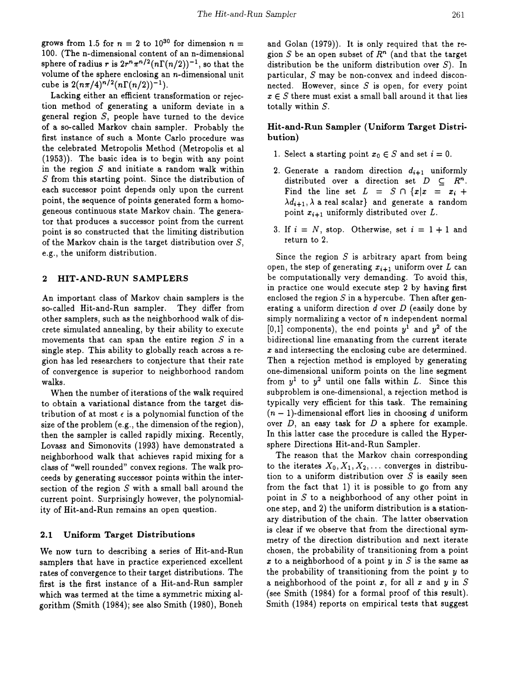grows from 1.5 for  $n = 2$  to  $10^{30}$  for dimension  $n =$ 100. (The n-dimensional content of an n-dimensional sphere of radius r is  $2r^n\pi^{n/2}(n\Gamma(n/2))^{-1}$ , so that the volume of the sphere enclosing an n-dimensional unit cube is  $2(n\pi/4)^{n/2}(n\Gamma(n/2))^{-1}$ .

Lacking either an efficient transformation or rejection method of generating a uniform deviate in a general region  $S$ , people have turned to the device of a so-called Markov chain sampler. Probably the first instance of such a Monte Carlo procedure was the celebrated Metropolis Method (Metropolis et al (1953)). The basic idea is to begin with any point in the region *S* and initiate a random walk within S from this starting point. Since the distribution of each successor point depends only upon the current point, the sequence of points generated form a homogeneous continuous state Markov chain. The generator that produces a successor point from the current point is so constructed that the limiting distribution of the Markov chain is the target distribution over  $S$ , e.g., the uniform distribution.

#### 2 HIT-AND-RUN SAMPLERS

An important class of Markov chain samplers is the so-called Hit-and-Run sampler. They differ from other samplers, such as the neighborhood walk of discrete simulated annealing, by their ability to execute movements that can span the entire region  $S$  in a single step. This ability to globally reach across a region has led researchers to conjecture that their rate of convergence is superior to neighborhood random walks.

When the number of iterations of the walk required to obtain a variational distance from the target distribution of at most  $\epsilon$  is a polynomial function of the size of the problem (e.g., the dimension of the region), then the sampler is called rapidly mixing. Recently, Lovasz and Simonovits (1993) have demonstrated a neighborhood walk that achieves rapid mixing for a class of "well rounded" convex regions. The walk proceeds by generating successor points within the intersection of the region *S* with a small ball around the current point. Surprisingly however, the polynomiality of Hit-and-Run remains an open question.

#### 2.1 Uniform Target Distributions

We now turn to describing a series of Hit-and-Run samplers that have in practice experienced excellent rates of convergence to their target distributions. The first is the first instance of a Hit-and-Run sampler which was termed at the time a symmetric mixing algorithm (Smith (1984); see also Smith (1980), Boneh and Golan (1979)). It is only required that the region  $S$  be an open subset of  $R<sup>n</sup>$  (and that the target distribution be the uniform distribution over  $S$ ). In particular, S may be non-convex and indeed disconnected. However, since *S* is open, for every point  $x \in S$  there must exist a small ball around it that lies totally within *S.*

## Hit-and-Run Sampler (Uniform Target Distribution)

- 1. Select a starting point  $x_0 \in S$  and set  $i = 0$ .
- 2. Generate a random direction  $d_{i+1}$  uniformly distributed over a direction set  $D \subseteq R^n$ . Find the line set  $L = S \cap {x \mid x = x_i + ...}$  $\lambda d_{i+1}, \lambda$  a real scalar} and generate a random point  $x_{i+1}$  uniformly distributed over  $L$ .
- 3. If  $i = N$ , stop. Otherwise, set  $i = 1 + 1$  and return to 2.

Since the region  $S$  is arbitrary apart from being open, the step of generating  $x_{i+1}$  uniform over  $L$  can be computationally very demanding. To avoid this, in practice one would execute step 2 by having first enclosed the region *S* in a hypercube. Then after generating a uniform direction  $d$  over  $D$  (easily done by simply normalizing a vector of *n* independent normal  $[0,1]$  components), the end points  $y^1$  and  $y^2$  of the bidirectional line emanating from the current iterate *x* and intersecting the enclosing cube are determined. Then a rejection method is employed by generating one-dimensional uniform points on the line segment from  $y^1$  to  $y^2$  until one falls within *L*. Since this subproblem is one-dimensional, a rejection method is typically very efficient for this task. The remaining  $(n - 1)$ -dimensional effort lies in choosing *d* uniform over *D,* an easy task for *D* a sphere for example. In this latter case the procedure is called the Hypersphere Directions Hit-and-Run Sampler.

The reason that the Markov chain corresponding to the iterates  $X_0, X_1, X_2, \ldots$  converges in distribution to a uniform distribution over *S* is easily seen from the fact that 1) it is possible to go from any point in  $S$  to a neighborhood of any other point in one step, and 2) the uniform distribution is a stationary distribution of the chain. The latter observation is clear if we observe that from the directional symmetry of the direction distribution and next iterate chosen, the probability of transitioning from a point *x* to a neighborhood of a point *y* in S is the same as the probability of transitioning from the point  $y$  to a neighborhood of the point *x,* for all *x* and y in S (see Smith (1984) for a formal proof of this result). Smith (1984) reports on empirical tests that suggest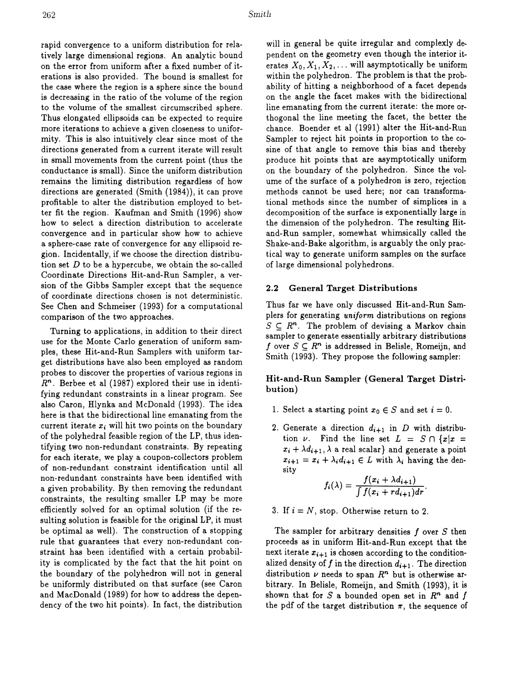rapid convergence to a uniform distribution for relatively large dimensional regions. An analytic bound on the error from uniform after a fixed number of iterations is also provided. The bound is smallest for the *case* where the region is a sphere since the bound is decreasing in the ratio of the volume of the region to the volume of the smallest circumscribed sphere. Thus elongated ellipsoids can be expected to require more iterations to achieve a given closeness to uniformity. This is also intuitively clear since most of the directions generated from a current iterate will result in small movements from the current point (thus the conductance is small). Since the uniform distribution remains the limiting distribution regardless of how directions are generated (Smith (1984)), it can prove profitable to alter the distribution employed to better fit the region. Kaufman and Smith (1996) show how to select a direction distribution to accelerate convergence and in particular show how to achieve a sphere-case rate of convergence for any ellipsoid region. Incidentally, if we choose the direction distribution set *D* to be a hypercube, we obtain the so-called Coordinate Directions Hit-and-Run Sampler, a version of the Gibbs Sampler except that the sequence of coordinate directions chosen is not deterministic. See Chen and Schmeiser (1993) for a computational comparison of the two approaches.

Turning to applications, in addition to their direct use for the Monte Carlo generation of uniform samples, these Hit-and-Run Samplers with uniform target distributions have also been employed as random probes to discover the properties of various regions in *Rn .* Berbee et al (1987) explored their use in identifying redundant constraints in a linear program. See also Caron, Hlynka and McDonald (1993). The idea here is that the bidirectional line emanating from the current iterate  $x_i$  will hit two points on the boundary of the polyhedral feasible region of the LP, thus identifying two non-redundant constraints. By repeating for each iterate, we play a coupon-collectors problem of non-redundant constraint identification until all non-redundant constraints have been identified with a given probability. By then removing the redundant constraints, the resulting smaller LP may be more efficiently solved for an optimal solution (if the resulting solution is feasible for the original LP, it must be optimal as well). The construction of a stopping rule that guarantees that every non-redundant constraint has been identified with a certain probability is complicated by the fact that the hit point on the boundary of the polyhedron will not in general be uniformly distributed on that surface (see Caron and MacDonald (1989) for how to address the dependency of the two hit points). In fact, the distribution

will in general be quite irregular and complexly dependent on the geometry even though the interior iterates  $X_0, X_1, X_2, \ldots$  will asymptotically be uniform within the polyhedron. The problem is that the probability of hitting a neighborhood of a facet depends on the angle the facet makes with the bidirectional line emanating from the current iterate: the more orthogonal the line meeting the facet, the better the chance. Boender et al (1991) alter the Hit-and-Run Sampler to reject hit points in proportion to the cosine of that angle to remove this bias and thereby produce hit points that are asymptotically uniform on the boundary of the polyhedron. Since the volume of the surface of a polyhedron is zero, rejection methods cannot be used here; nor can transformational methods since the number of simplices in a decomposition of the surface is exponentially large in the dimension of the polyhedron. The resulting Hitand-Run sampler, somewhat whimsically called the Shake-and-Bake algorithm, is arguably the only practical way to generate uniform samples on the surface of large dimensional polyhedrons.

#### 2.2 General Target Distributions

Thus far we have only discussed Hit-and-Run Samplers for generating *uniform* distributions on regions  $S \subseteq R^n$ . The problem of devising a Markov chain sampler to generate essentially arbitrary distributions f over  $S \subseteq \mathbb{R}^n$  is addressed in Belisle, Romeijn, and Smith (1993). They propose the following sampler:

## Hit-and-Run Sampler (General Target Distribution)

- 1. Select a starting point  $x_0 \in S$  and set  $i = 0$ .
- 2. Generate a direction  $d_{i+1}$  in *D* with distribution  $\nu$ . Find the line set  $L = S \cap \{x | x =$  $x_i + \lambda d_{i+1}, \lambda$  a real scalar} and generate a point  $x_{i+1} = x_i + \lambda_i d_{i+1} \in L$  with  $\lambda_i$  having the density

$$
f_i(\lambda) = \frac{f(x_i + \lambda d_{i+1})}{\int f(x_i + r d_{i+1}) dr}.
$$

3. If  $i = N$ , stop. Otherwise return to 2.

The sampler for arbitrary densities f over *S* then proceeds as in uniform Hit-and-Run except that the next iterate  $x_{i+1}$  is chosen according to the conditionalized density of f in the direction  $d_{i+1}$ . The direction distribution  $\nu$  needs to span  $R<sup>n</sup>$  but is otherwise arbitrary. In Belisle, Romeijn, and Smith (1993), it is shown that for S a bounded open set in  $R^n$  and f the pdf of the target distribution  $\pi$ , the sequence of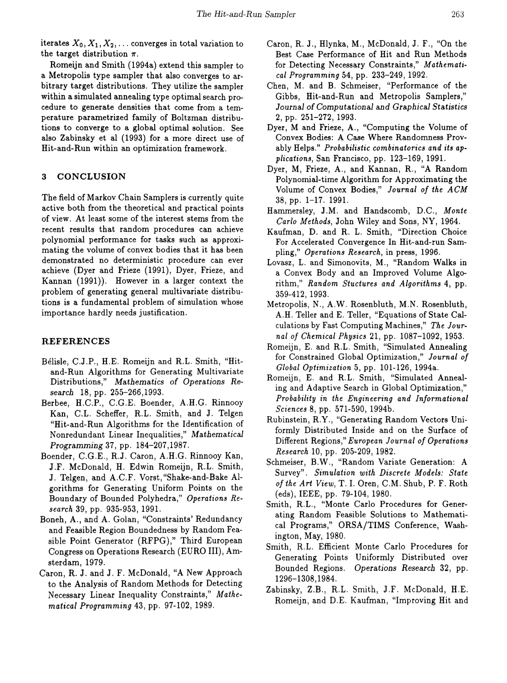iterates  $X_0, X_1, X_2, \ldots$  converges in total variation to the target distribution  $\pi$ .

Romeijn and Smith (1994a) extend this sampler to a Metropolis type sampler that also converges to arbitrary target distributions. They utilize the sampler within a simulated annealing type optimal search procedure to generate densities that come from a temperature parametrized family of Boltzman distributions to converge to a global optimal solution. See also Zabinsky et al (1993) for a more direct use of Hit-and-Run within an optimization framework.

# 3 CONCLUSION

The field of Markov Chain Samplers is currently quite active both from the theoretical and practical points of view. At least some of the interest stems from the recent results that random procedures can achieve polynomial performance for tasks such as approximating the volume of convex bodies that it has been demonstrated no deterministic procedure can ever achieve (Dyer and Frieze (1991), Dyer, Frieze, and Kannan (1991)). However in a larger context the problem of generating general multivariate distributions is a fundamental problem of simulation whose importance hardly needs justification.

## REFERENCES

- Belisle, C.J.P., H.E. Romeijn and R.L. Smith, "Hitand-Run Algorithms for Generating Multivariate Distributions," *Mathematics* of *Operations Research* 18, pp. 255-266,1993.
- Berbee, H.C.P., C.G.E. Boender, A.H.G. Rinnooy Kan, C.L. Scheffer, R.L. Smith, and J. TeIgen "Hit-and-Run Algorithms for the Identification of Nonredundant Linear Inequalities," *Mathematical Programming* 37, pp. 184-207,1987.
- Boender, C.G.E., R.J. Caron, A.H.G. Rinnooy Kan, J.F. McDonald, H. Edwin Romeijn, R.L. Smith, J. TeIgen, and A.C.F. Vorst, "Shake-and-Bake Algorithms for Generating Uniform Points on the Boundary of Bounded Polyhedra," *Operations Research* 39, pp. 935-953,1991.
- Boneh, A., and A. Golan, "Constraints' Redundancy and Feasible Region Boundedness by Random Feasible Point Generator (RFPG)," Third European Congress on Operations Research (EURO III), Amsterdam, 1979.
- Caron, R. J. and J. F. McDonald, "A New Approach to the Analysis of Random Methods for Detecting Necessary Linear Inequality Constraints," *Mathematical Programming* 43, pp. 97-102, 1989.
- Caron, R. J., Hlynka, M., McDonald, J. F., "On the Best Case Performance of Hit and Run Methods for Detecting Necessary Constraints," *Mathematical Programming* 54, pp. 233-249, 1992.
- Chen, M. and B. Schmeiser, "Performance of the Gibbs, Hit-and-Run and Metropolis Samplers," *Journal* of *Computational* and *Graphical Statistics* 2, pp. 251-272, 1993.
- Dyer, M and Frieze, A., "Computing the Volume of Convex Bodies: A Case Where Randomness Provably Helps." *Probabilistic combinatorics and its applications,* San Francisco, pp. 123-169, 1991.
- Dyer, M, Frieze, A., and Kannan, R., "A Random Polynomial-time Algorithm for Approximating the Volume of Convex Bodies," *Journal of the ACM* 38, pp. 1-17. 1991.
- Hammersley, J.M. and Handscomb, D.C., *Monte Carlo Methods,* John Wiley and Sons, NY, 1964.
- Kaufman, D. and R. L. Smith, "Direction Choice For Accelerated Convergence In Hit-and-run Sampling," *Operations Research,* in press, 1996.
- Lovasz, L. and Simonovits, M., "Random Walks in a Convex Body and an Improved Volume Algorithm," *Random Stuctures and Algorithms* 4, pp. 359-412, 1993.
- Metropolis, N., A.W. Rosenbluth, M.N. Rosenbluth, A.H. Teller and E. Teller, "Equations of State Calculations by Fast Computing Machines," *The Journal of Chemical Physics* 21, pp. 1087-1092, 1953.
- Romeijn, E. and R.L. Smith, "Simulated Annealing for Constrained Global Optimization," *Journal of Global Optimization* 5, pp. 101-126, 1994a.
- Romeijn, E. and R.L. Smith, "Simulated Annealing and Adaptive Search in Global Optimization," *Probability in the Engineering and Informational Sciences* 8, pp. 571-590, 1994b.
- Rubinstein, R.Y., "Generating Random Vectors Uniformly Distributed Inside and on the Surface of Different Regions," *European Journal of Operations Research* 10, pp. 205-209, 1982.
- Schmeiser, B.W., "Random Variate Generation: A Survey". *Simulation with Discrete Models: State of the Art View,* T. I. Oren, C.M. Shub, P. F. Roth (eds), IEEE, pp. 79-104, 1980.
- Smith, R.L., "Monte Carlo Procedures for Generating Random Feasible Solutions to Mathematical Programs," ORSA/TIMS Conference, Washington, May, 1980.
- Smith, R.L. Efficient Monte Carlo Procedures for Generating Points Uniformly Distributed over Bounded Regions. *Operations Research* 32, pp. 1296-1308,1984.
- Zabinsky, Z.B., R.L. Smith, J .F. McDonald, H.E. Romeijn, and D.E. Kaufman, "Improving Hit and